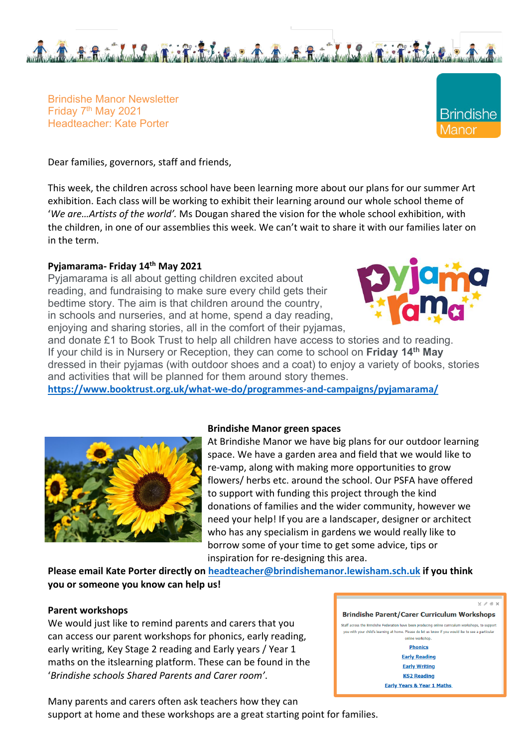

Brindishe Manor Newsletter Friday 7<sup>th</sup> May 2021 Headteacher: Kate Porter

Dear families, governors, staff and friends,

This week, the children across school have been learning more about our plans for our summer Art exhibition. Each class will be working to exhibit their learning around our whole school theme of '*We are…Artists of the world'.* Ms Dougan shared the vision for the whole school exhibition, with the children, in one of our assemblies this week. We can't wait to share it with our families later on in the term.

## **Pyjamarama- Friday 14th May 2021**

Pyjamarama is all about getting children excited about reading, and fundraising to make sure every child gets their bedtime story. The aim is that children around the country, in schools and nurseries, and at home, spend a day reading, enjoying and sharing stories, all in the comfort of their pyjamas,



**Brindishe** anor

and donate £1 to Book Trust to help all children have access to stories and to reading. If your child is in Nursery or Reception, they can come to school on **Friday 14th May** dressed in their pyjamas (with outdoor shoes and a coat) to enjoy a variety of books, stories and activities that will be planned for them around story themes.

**https://www.booktrust.org.uk/what-we-do/programmes-and-campaigns/pyjamarama/**



### **Brindishe Manor green spaces**

At Brindishe Manor we have big plans for our outdoor learning space. We have a garden area and field that we would like to re-vamp, along with making more opportunities to grow flowers/ herbs etc. around the school. Our PSFA have offered to support with funding this project through the kind donations of families and the wider community, however we need your help! If you are a landscaper, designer or architect who has any specialism in gardens we would really like to borrow some of your time to get some advice, tips or inspiration for re-designing this area.

**Please email Kate Porter directly on headteacher@brindishemanor.lewisham.sch.uk if you think you or someone you know can help us!** 

### **Parent workshops**

We would just like to remind parents and carers that you can access our parent workshops for phonics, early reading, early writing, Key Stage 2 reading and Early years / Year 1 maths on the itslearning platform. These can be found in the '*Brindishe schools Shared Parents and Carer room'*.

Many parents and carers often ask teachers how they can support at home and these workshops are a great starting point for families.

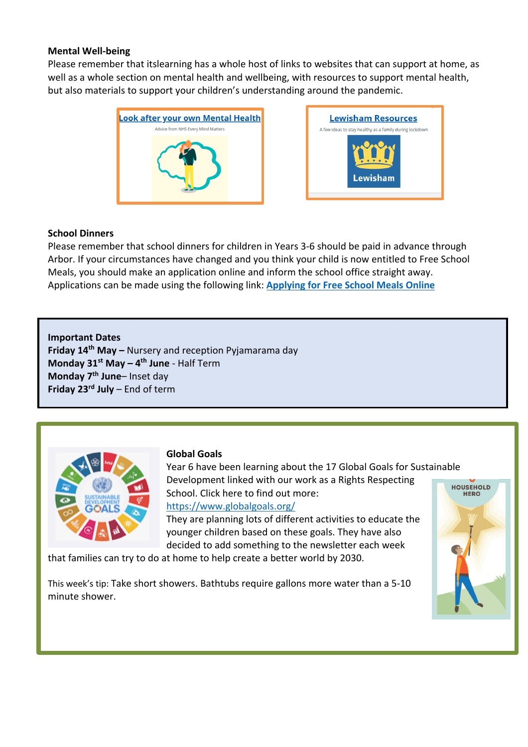## **Mental Well-being**

Please remember that itslearning has a whole host of links to websites that can support at home, as well as a whole section on mental health and wellbeing, with resources to support mental health, but also materials to support your children's understanding around the pandemic.





## **School Dinners**

Please remember that school dinners for children in Years 3-6 should be paid in advance through Arbor. If your circumstances have changed and you think your child is now entitled to Free School Meals, you should make an application online and inform the school office straight away. Applications can be made using the following link: **Applying for Free School Meals Online**

**Important Dates Friday 14th May –** Nursery and reception Pyjamarama day **Monday 31st May – 4th June** - Half Term

**Monday 7th June**– Inset day **Friday 23rd July** – End of term



# **Global Goals**

Year 6 have been learning about the 17 Global Goals for Sustainable Development linked with our work as a Rights Respecting School. Click here to find out more:

# https://www.globalgoals.org/

They are planning lots of different activities to educate the younger children based on these goals. They have also decided to add something to the newsletter each week

that families can try to do at home to help create a better world by 2030.

This week's tip: Take short showers. Bathtubs require gallons more water than a 5-10 minute shower.